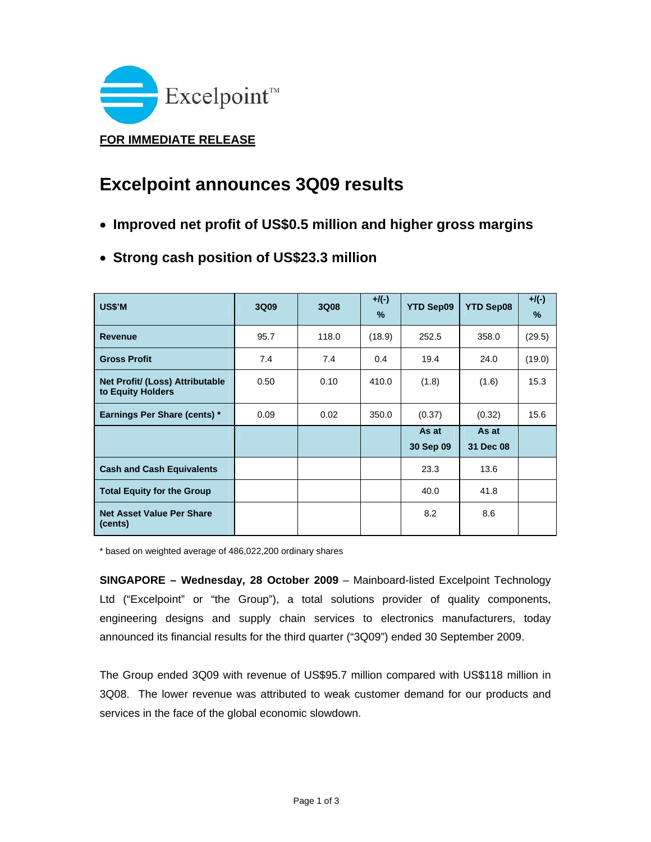

## **Excelpoint announces 3Q09 results**

- **Improved net profit of US\$0.5 million and higher gross margins**
- **Strong cash position of US\$23.3 million**

| US\$'M                                               | 3Q09 | 3Q08  | $+$ /(-)<br>$\%$ | <b>YTD Sep09</b> | <b>YTD Sep08</b> | $+/(-)$<br>$\%$ |
|------------------------------------------------------|------|-------|------------------|------------------|------------------|-----------------|
| <b>Revenue</b>                                       | 95.7 | 118.0 | (18.9)           | 252.5            | 358.0            | (29.5)          |
| <b>Gross Profit</b>                                  | 7.4  | 7.4   | 0.4              | 19.4             | 24.0             | (19.0)          |
| Net Profit/ (Loss) Attributable<br>to Equity Holders | 0.50 | 0.10  | 410.0            | (1.8)            | (1.6)            | 15.3            |
| Earnings Per Share (cents) *                         | 0.09 | 0.02  | 350.0            | (0.37)           | (0.32)           | 15.6            |
|                                                      |      |       |                  | As at            | As at            |                 |
|                                                      |      |       |                  | 30 Sep 09        | 31 Dec 08        |                 |
| <b>Cash and Cash Equivalents</b>                     |      |       |                  | 23.3             | 13.6             |                 |
| <b>Total Equity for the Group</b>                    |      |       |                  | 40.0             | 41.8             |                 |
| <b>Net Asset Value Per Share</b><br>(cents)          |      |       |                  | 8.2              | 8.6              |                 |

\* based on weighted average of 486,022,200 ordinary shares

**SINGAPORE – Wednesday, 28 October 2009** – Mainboard-listed Excelpoint Technology Ltd ("Excelpoint" or "the Group"), a total solutions provider of quality components, engineering designs and supply chain services to electronics manufacturers, today announced its financial results for the third quarter ("3Q09") ended 30 September 2009.

The Group ended 3Q09 with revenue of US\$95.7 million compared with US\$118 million in 3Q08. The lower revenue was attributed to weak customer demand for our products and services in the face of the global economic slowdown.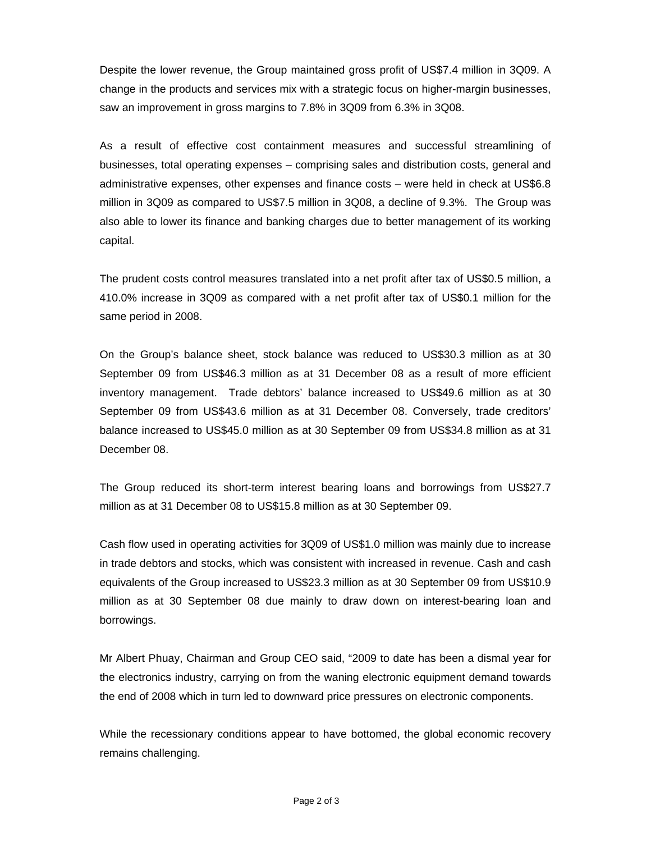Despite the lower revenue, the Group maintained gross profit of US\$7.4 million in 3Q09. A change in the products and services mix with a strategic focus on higher-margin businesses, saw an improvement in gross margins to 7.8% in 3Q09 from 6.3% in 3Q08.

As a result of effective cost containment measures and successful streamlining of businesses, total operating expenses – comprising sales and distribution costs, general and administrative expenses, other expenses and finance costs – were held in check at US\$6.8 million in 3Q09 as compared to US\$7.5 million in 3Q08, a decline of 9.3%. The Group was also able to lower its finance and banking charges due to better management of its working capital.

The prudent costs control measures translated into a net profit after tax of US\$0.5 million, a 410.0% increase in 3Q09 as compared with a net profit after tax of US\$0.1 million for the same period in 2008.

On the Group's balance sheet, stock balance was reduced to US\$30.3 million as at 30 September 09 from US\$46.3 million as at 31 December 08 as a result of more efficient inventory management. Trade debtors' balance increased to US\$49.6 million as at 30 September 09 from US\$43.6 million as at 31 December 08. Conversely, trade creditors' balance increased to US\$45.0 million as at 30 September 09 from US\$34.8 million as at 31 December 08.

The Group reduced its short-term interest bearing loans and borrowings from US\$27.7 million as at 31 December 08 to US\$15.8 million as at 30 September 09.

Cash flow used in operating activities for 3Q09 of US\$1.0 million was mainly due to increase in trade debtors and stocks, which was consistent with increased in revenue. Cash and cash equivalents of the Group increased to US\$23.3 million as at 30 September 09 from US\$10.9 million as at 30 September 08 due mainly to draw down on interest-bearing loan and borrowings.

Mr Albert Phuay, Chairman and Group CEO said, "2009 to date has been a dismal year for the electronics industry, carrying on from the waning electronic equipment demand towards the end of 2008 which in turn led to downward price pressures on electronic components.

While the recessionary conditions appear to have bottomed, the global economic recovery remains challenging.